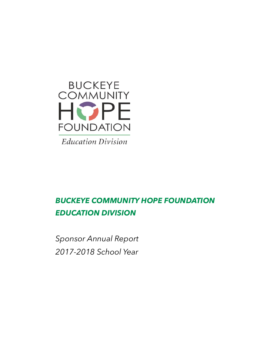

**Education Division** 

# *BUCKEYE COMMUNITY HOPE FOUNDATION EDUCATION DIVISION*

*Sponsor Annual Report 2017-2018 School Year*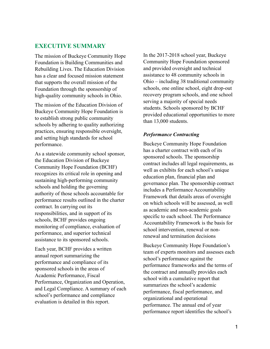### **EXECUTIVE SUMMARY**

The mission of Buckeye Community Hope Foundation is Building Communities and Rebuilding Lives. The Education Division has a clear and focused mission statement that supports the overall mission of the Foundation through the sponsorship of high-quality community schools in Ohio.

The mission of the Education Division of Buckeye Community Hope Foundation is to establish strong public community schools by adhering to quality authorizing practices, ensuring responsible oversight, and setting high standards for school performance.

As a statewide community school sponsor, the Education Division of Buckeye Community Hope Foundation (BCHF) recognizes its critical role in opening and sustaining high-performing community schools and holding the governing authority of those schools accountable for performance results outlined in the charter contract. In carrying out its responsibilities, and in support of its schools, BCHF provides ongoing monitoring of compliance, evaluation of performance, and superior technical assistance to its sponsored schools.

Each year, BCHF provides a written annual report summarizing the performance and compliance of its sponsored schools in the areas of Academic Performance, Fiscal Performance, Organization and Operation, and Legal Compliance. A summary of each school's performance and compliance evaluation is detailed in this report.

In the 2017-2018 school year, Buckeye Community Hope Foundation sponsored and provided oversight and technical assistance to 48 community schools in Ohio – including 38 traditional community schools, one online school, eight drop-out recovery program schools, and one school serving a majority of special needs students. Schools sponsored by BCHF provided educational opportunities to more than 13,000 students.

### *Performance Contracting*

Buckeye Community Hope Foundation has a charter contract with each of its sponsored schools. The sponsorship contract includes all legal requirements, as well as exhibits for each school's unique education plan, financial plan and governance plan. The sponsorship contract includes a Performance Accountability Framework that details areas of oversight on which schools will be assessed, as well as academic and non-academic goals specific to each school. The Performance Accountability Framework is the basis for school intervention, renewal or nonrenewal and termination decisions

Buckeye Community Hope Foundation's team of experts monitors and assesses each school's performance against the performance frameworks and the terms of the contract and annually provides each school with a cumulative report that summarizes the school's academic performance, fiscal performance, and organizational and operational performance. The annual end of year performance report identifies the school's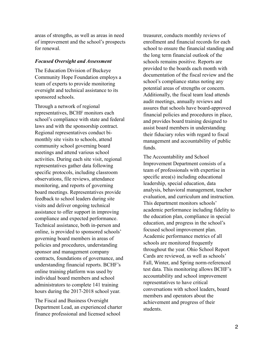areas of strengths, as well as areas in need of improvement and the school's prospects for renewal.

### *Focused Oversight and Assessment*

The Education Division of Buckeye Community Hope Foundation employs a team of experts to provide monitoring oversight and technical assistance to its sponsored schools.

Through a network of regional representatives, BCHF monitors each school's compliance with state and federal laws and with the sponsorship contract. Regional representatives conduct bimonthly site visits to schools, attend community school governing board meetings and attend various school activities. During each site visit, regional representatives gather data following specific protocols, including classroom observations, file reviews, attendance monitoring, and reports of governing board meetings. Representatives provide feedback to school leaders during site visits and deliver ongoing technical assistance to offer support in improving compliance and expected performance. Technical assistance, both in-person and online, is provided to sponsored schools' governing board members in areas of policies and procedures, understanding sponsor and management company contracts, foundations of governance, and understanding financial reports. BCHF's online training platform was used by individual board members and school administrators to complete 141 training hours during the 2017-2018 school year.

The Fiscal and Business Oversight Department Lead, an experienced charter finance professional and licensed school

treasurer, conducts monthly reviews of enrollment and financial records for each school to ensure the financial standing and the long term financial outlook of the schools remains positive. Reports are provided to the boards each month with documentation of the fiscal review and the school's compliance status noting any potential areas of strengths or concern. Additionally, the fiscal team lead attends audit meetings, annually reviews and assures that schools have board-approved financial policies and procedures in place, and provides board training designed to assist board members in understanding their fiduciary roles with regard to fiscal management and accountability of public funds.

The Accountability and School Improvement Department consists of a team of professionals with expertise in specific area(s) including educational leadership, special education, data analysis, behavioral management, teacher evaluation, and curriculum and instruction. This department monitors schools' academic performance including fidelity to the education plan, compliance in special education, and progress in the school's focused school improvement plan. Academic performance metrics of all schools are monitored frequently throughout the year. Ohio School Report Cards are reviewed, as well as schools' Fall, Winter, and Spring norm-referenced test data. This monitoring allows BCHF's accountability and school improvement representatives to have critical conversations with school leaders, board members and operators about the achievement and progress of their students.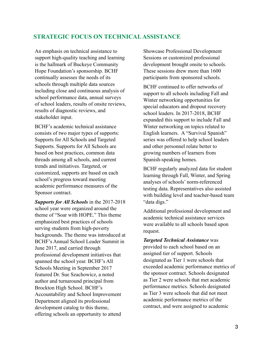# **STRATEGIC FOCUS ON TECHNICAL ASSISTANCE**

An emphasis on technical assistance to support high-quality teaching and learning is the hallmark of Buckeye Community Hope Foundation's sponsorship. BCHF continually assesses the needs of its schools through multiple data sources including close and continuous analysis of school performance data, annual surveys of school leaders, results of onsite reviews, results of diagnostic reviews, and stakeholder input.

BCHF's academic technical assistance consists of two major types of supports: Supports for All Schools and Targeted Supports. Supports for All Schools are based on best practices, common data threads among all schools, and current trends and initiatives. Targeted, or customized, supports are based on each school's progress toward meeting academic performance measures of the Sponsor contract.

*Supports for All Schools* in the 2017-2018 school year were organized around the theme of "Soar with HOPE." This theme emphasized best practices of schools serving students from high-poverty backgrounds. The theme was introduced at BCHF's Annual School Leader Summit in June 2017, and carried through professional development initiatives that spanned the school year. BCHF's All Schools Meeting in September 2017 featured Dr. Sue Szachowicz, a noted author and turnaround principal from Brockton High School. BCHF's Accountability and School Improvement Department aligned its professional development catalog to this theme, offering schools an opportunity to attend

Showcase Professional Development Sessions or customized professional development brought onsite to schools. These sessions drew more than 1600 participants from sponsored schools.

BCHF continued to offer networks of support to all schools including Fall and Winter networking opportunities for special educators and dropout recovery school leaders. In 2017-2018, BCHF expanded this support to include Fall and Winter networking on topics related to English learners. A "Survival Spanish" series was offered to help school leaders and other personnel relate better to growing numbers of learners from Spanish-speaking homes.

BCHF regularly analyzed data for student learning through Fall, Winter, and Spring analyses of schools' norm-referenced testing data. Representatives also assisted with building level and teacher-based team "data digs."

Additional professional development and academic technical assistance services were available to all schools based upon request.

*Targeted Technical Assistance* was provided to each school based on an assigned tier of support. Schools designated as Tier 1 were schools that exceeded academic performance metrics of the sponsor contract. Schools designated as Tier 2 were schools that met academic performance metrics. Schools designated as Tier 3 were schools that did not meet academic performance metrics of the contract, and were assigned to academic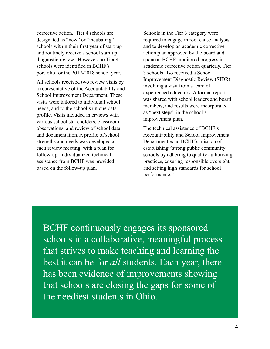corrective action. Tier 4 schools are designated as "new" or "incubating" schools within their first year of start-up and routinely receive a school start up diagnostic review. However, no Tier 4 schools were identified in BCHF's portfolio for the 2017-2018 school year.

All schools received two review visits by a representative of the Accountability and School Improvement Department. These visits were tailored to individual school needs, and to the school's unique data profile. Visits included interviews with various school stakeholders, classroom observations, and review of school data and documentation. A profile of school strengths and needs was developed at each review meeting, with a plan for follow-up. Individualized technical assistance from BCHF was provided based on the follow-up plan.

Schools in the Tier 3 category were required to engage in root cause analysis, and to develop an academic corrective action plan approved by the board and sponsor. BCHF monitored progress in academic corrective action quarterly. Tier 3 schools also received a School Improvement Diagnostic Review (SIDR) involving a visit from a team of experienced educators. A formal report was shared with school leaders and board members, and results were incorporated as "next steps" in the school's improvement plan.

The technical assistance of BCHF's Accountability and School Improvement Department echo BCHF's mission of establishing "strong public community schools by adhering to quality authorizing practices, ensuring responsible oversight, and setting high standards for school performance."

BCHF continuously engages its sponsored schools in a collaborative, meaningful process that strives to make teaching and learning the best it can be for *all* students. Each year, there has been evidence of improvements showing that schools are closing the gaps for some of the neediest students in Ohio.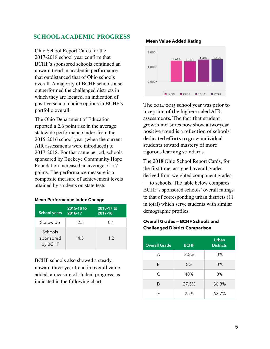# **SCHOOL ACADEMIC PROGRESS**

Ohio School Report Cards for the 2017-2018 school year confirm that BCHF's sponsored schools continued an upward trend in academic performance that outdistanced that of Ohio schools overall. A majority of BCHF schools also outperformed the challenged districts in which they are located, an indication of positive school choice options in BCHF's portfolio overall.

The Ohio Department of Education reported a 2.6 point rise in the average statewide performance index from the 2015-2016 school year (when the current AIR assessments were introduced) to 2017-2018. For that same period, schools sponsored by Buckeye Community Hope Foundation increased an average of 5.7 points. The performance measure is a composite measure of achievement levels attained by students on state tests.

#### **Mean Performance Index Change**

| <b>School years</b>             | 2015-16 to<br>2016-17 | 2016-17 to<br>2017-18 |
|---------------------------------|-----------------------|-----------------------|
| Statewide                       | 2.5                   | 0.1                   |
| Schools<br>sponsored<br>by BCHF | 4.5                   | 1.2                   |

BCHF schools also showed a steady, upward three-year trend in overall value added, a measure of student progress, as indicated in the following chart.

#### **Mean Value Added Rating**



The 2014-2015 school year was prior to inception of the higher-scaled AIR assessments. The fact that student growth measures now show a two-year positive trend is a reflection of schools' dedicated efforts to grow individual students toward mastery of more rigorous learning standards.

The 2018 Ohio School Report Cards, for the first time, assigned overall grades derived from weighted component grades — to schools. The table below compares BCHF's sponsored schools' overall ratings to that of corresponding urban districts (11 in total) which serve students with similar demographic profiles.

### **Overall Grades — BCHF Schools and Challenged District Comparison**

| <b>Overall Grade</b> | <b>BCHF</b> | Urban<br><b>Districts</b> |
|----------------------|-------------|---------------------------|
| А                    | 2.5%        | $0\%$                     |
| B                    | 5%          | $0\%$                     |
| C                    | 40%         | $0\%$                     |
| D                    | 27.5%       | 36.3%                     |
| F                    | 25%         | 63.7%                     |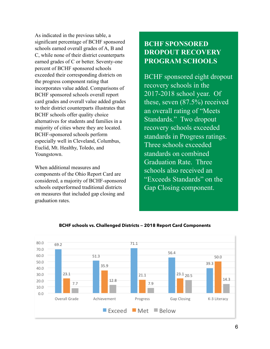As indicated in the previous table, a significant percentage of BCHF sponsored schools earned overall grades of A, B and C, while none of their district counterparts earned grades of C or better. Seventy-one percent of BCHF sponsored schools exceeded their corresponding districts on the progress component rating that incorporates value added. Comparisons of BCHF sponsored schools overall report card grades and overall value added grades to their district counterparts illustrates that BCHF schools offer quality choice alternatives for students and families in a majority of cities where they are located. BCHF-sponsored schools perform especially well in Cleveland, Columbus, Euclid, Mt. Healthy, Toledo, and Youngstown.

When additional measures and components of the Ohio Report Card are considered, a majority of BCHF-sponsored schools outperformed traditional districts on measures that included gap closing and graduation rates.

# **BCHF SPONSORED DROPOUT RECOVERY PROGRAM SCHOOLS**

BCHF sponsored eight dropout recovery schools in the 2017-2018 school year. Of these, seven (87.5%) received an overall rating of "Meets Standards." Two dropout recovery schools exceeded standards in Progress ratings. Three schools exceeded standards on combined Graduation Rate. Three schools also received an "Exceeds Standards" on the Gap Closing component.



### **BCHF schools vs. Challenged Districts — 2018 Report Card Components**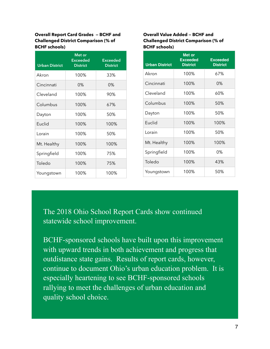**Overall Report Card Grades — BCHF and Challenged District Comparison (% of BCHF schools)** 

| <b>Urban District</b> | Met or<br><b>Exceeded</b><br><b>District</b> | <b>Exceeded</b><br><b>District</b> |
|-----------------------|----------------------------------------------|------------------------------------|
| Akron                 | 100%                                         | 33%                                |
| Cincinnati            | $0\%$                                        | $0\%$                              |
| Cleveland             | 100%                                         | 90%                                |
| Columbus              | 100%                                         | 67%                                |
| Dayton                | 100%                                         | 50%                                |
| Euclid                | 100%                                         | 100%                               |
| Lorain                | 100%                                         | 50%                                |
| Mt. Healthy           | 100%                                         | 100%                               |
| Springfield           | 100%                                         | 75%                                |
| Toledo                | 100%                                         | 75%                                |
| Youngstown            | 100%                                         | 100%                               |

### **Overall Value Added — BCHF and Challenged District Comparison (% of BCHF schools)**

| <b>Urban District</b> | Met or<br><b>Exceeded</b><br><b>District</b> | <b>Exceeded</b><br><b>District</b> |
|-----------------------|----------------------------------------------|------------------------------------|
| Akron                 | 100%                                         | 67%                                |
| Cincinnati            | 100%                                         | $0\%$                              |
| Cleveland             | 100%                                         | 60%                                |
| Columbus              | 100%                                         | 50%                                |
| Dayton                | 100%                                         | 50%                                |
| Euclid                | 100%                                         | 100%                               |
| Lorain                | 100%                                         | 50%                                |
| Mt. Healthy           | 100%                                         | 100%                               |
| Springfield           | 100%                                         | $0\%$                              |
| Toledo                | 100%                                         | 43%                                |
| Youngstown            | 100%                                         | 50%                                |

The 2018 Ohio School Report Cards show continued statewide school improvement.

BCHF-sponsored schools have built upon this improvement with upward trends in both achievement and progress that outdistance state gains. Results of report cards, however, continue to document Ohio's urban education problem. It is especially heartening to see BCHF-sponsored schools rallying to meet the challenges of urban education and quality school choice.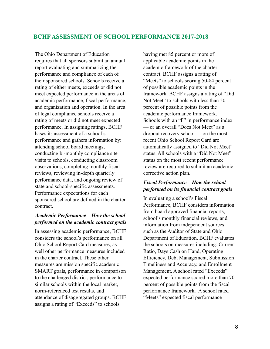### **BCHF ASSESSMENT OF SCHOOL PERFORMANCE 2017-2018**

The Ohio Department of Education requires that all sponsors submit an annual report evaluating and summarizing the performance and compliance of each of their sponsored schools. Schools receive a rating of either meets, exceeds or did not meet expected performance in the areas of academic performance, fiscal performance, and organization and operation. In the area of legal compliance schools receive a rating of meets or did not meet expected performance. In assigning ratings, BCHF bases its assessment of a school's performance and gathers information by: attending school board meetings, conducting bi-monthly compliance site visits to schools, conducting classroom observations, completing monthly fiscal reviews, reviewing in-depth quarterly performance data, and ongoing review of state and school-specific assessments. Performance expectations for each sponsored school are defined in the charter contract.

### *Academic Performance – How the school performed on the academic contract goals*

In assessing academic performance, BCHF considers the school's performance on all Ohio School Report Card measures, as well other performance measures included in the charter contract. These other measures are mission specific academic SMART goals, performance in comparison to the challenged district, performance to similar schools within the local market, norm-referenced test results, and attendance of disaggregated groups. BCHF assigns a rating of "Exceeds" to schools

having met 85 percent or more of applicable academic points in the academic framework of the charter contract. BCHF assigns a rating of "Meets" to schools scoring 50-84 percent of possible academic points in the framework. BCHF assigns a rating of "Did Not Meet" to schools with less than 50 percent of possible points from the academic performance framework. Schools with an "F" in performance index — or an overall "Does Not Meet" as a dropout recovery school — on the most recent Ohio School Report Card are automatically assigned to "Did Not Meet" status. All schools with a "Did Not Meet" status on the most recent performance review are required to submit an academic corrective action plan.

### *Fiscal Performance – How the school performed on its financial contract goals*

In evaluating a school's Fiscal Performance, BCHF considers information from board approved financial reports, school's monthly financial reviews, and information from independent sources such as the Auditor of State and Ohio Department of Education. BCHF evaluates the schools on measures including: Current Ratio, Days Cash on Hand, Operating Efficiency, Debt Management, Submission Timeliness and Accuracy, and Enrollment Management. A school rated "Exceeds" expected performance scored more than 70 percent of possible points from the fiscal performance framework. A school rated "Meets" expected fiscal performance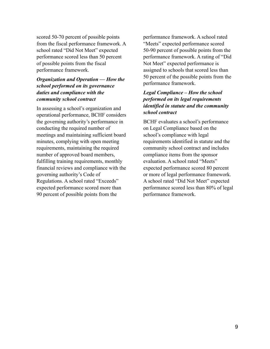scored 50-70 percent of possible points from the fiscal performance framework. A school rated "Did Not Meet" expected performance scored less than 50 percent of possible points from the fiscal performance framework.

### *Organization and Operation — How the school performed on its governance duties and compliance with the community school contract*

In assessing a school's organization and operational performance, BCHF considers the governing authority's performance in conducting the required number of meetings and maintaining sufficient board minutes, complying with open meeting requirements, maintaining the required number of approved board members, fulfilling training requirements, monthly financial reviews and compliance with the governing authority's Code of Regulations. A school rated "Exceeds" expected performance scored more than 90 percent of possible points from the

performance framework. A school rated "Meets" expected performance scored 50-90 percent of possible points from the performance framework. A rating of "Did Not Meet" expected performance is assigned to schools that scored less than 50 percent of the possible points from the performance framework.

### *Legal Compliance – How the school performed on its legal requirements identified in statute and the community school contract*

BCHF evaluates a school's performance on Legal Compliance based on the school's compliance with legal requirements identified in statute and the community school contract and includes compliance items from the sponsor evaluation. A school rated "Meets" expected performance scored 80 percent or more of legal performance framework. A school rated "Did Not Meet" expected performance scored less than 80% of legal performance framework.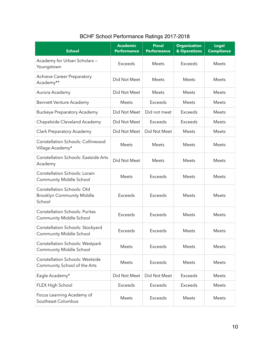| <b>School</b>                                                                   | <b>Academic</b><br><b>Performance</b> | <b>Fiscal</b><br><b>Performance</b> | <b>Organization</b><br>& Operations | <b>Legal</b><br><b>Compliance</b> |
|---------------------------------------------------------------------------------|---------------------------------------|-------------------------------------|-------------------------------------|-----------------------------------|
| Academy for Urban Scholars -<br>Youngstown                                      | Exceeds                               | <b>Meets</b>                        | Exceeds                             | <b>Meets</b>                      |
| <b>Achieve Career Preparatory</b><br>Academy**                                  | Did Not Meet                          | <b>Meets</b>                        | <b>Meets</b>                        | Meets                             |
| Aurora Academy                                                                  | Did Not Meet                          | <b>Meets</b>                        | <b>Meets</b>                        | Meets                             |
| Bennett Venture Academy                                                         | <b>Meets</b>                          | <b>Exceeds</b>                      | <b>Meets</b>                        | <b>Meets</b>                      |
| <b>Buckeye Preparatory Academy</b>                                              | Did Not Meet                          | Did not meet                        | <b>Exceeds</b>                      | Meets                             |
| Chapelside Cleveland Academy                                                    | Did Not Meet                          | Exceeds                             | Exceeds                             | <b>Meets</b>                      |
| Clark Preparatory Academy                                                       | Did Not Meet                          | Did Not Meet                        | <b>Meets</b>                        | <b>Meets</b>                      |
| <b>Constellation Schools: Collinwood</b><br>Village Academy*                    | Meets                                 | Meets                               | <b>Meets</b>                        | Meets                             |
| <b>Constellation Schools: Eastside Arts</b><br>Academy                          | Did Not Meet                          | Meets                               | <b>Meets</b>                        | Meets                             |
| <b>Constellation Schools: Lorain</b><br><b>Community Middle School</b>          | Meets                                 | <b>Exceeds</b>                      | <b>Meets</b>                        | Meets                             |
| <b>Constellation Schools: Old</b><br><b>Brooklyn Community Middle</b><br>School | <b>Exceeds</b>                        | <b>Exceeds</b>                      | Meets                               | Meets                             |
| <b>Constellation Schools: Puritas</b><br><b>Community Middle School</b>         | <b>Exceeds</b>                        | <b>Exceeds</b>                      | <b>Meets</b>                        | <b>Meets</b>                      |
| Constellation Schools: Stockyard<br><b>Community Middle School</b>              | <b>Exceeds</b>                        | Exceeds                             | <b>Meets</b>                        | <b>Meets</b>                      |
| Constellation Schools: Westpark<br>Community Middle School                      | Meets                                 | Exceeds                             | <b>Meets</b>                        | <b>Meets</b>                      |
| <b>Constellation Schools: Westside</b><br>Community School of the Arts          | Meets                                 | Exceeds                             | <b>Meets</b>                        | <b>Meets</b>                      |
| Eagle Academy*                                                                  | Did Not Meet                          | Did Not Meet                        | <b>Exceeds</b>                      | <b>Meets</b>                      |
| FLEX High School                                                                | Exceeds                               | Exceeds                             | <b>Exceeds</b>                      | Meets                             |
| Focus Learning Academy of<br>Southeast Columbus                                 | Meets                                 | Exceeds                             | Meets                               | Meets                             |

# BCHF School Performance Ratings 2017-2018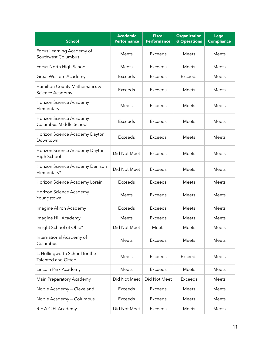| <b>School</b>                                         | <b>Academic</b><br><b>Performance</b> | <b>Fiscal</b><br><b>Performance</b> | <b>Organization</b><br>& Operations | <b>Legal</b><br><b>Compliance</b> |
|-------------------------------------------------------|---------------------------------------|-------------------------------------|-------------------------------------|-----------------------------------|
| Focus Learning Academy of<br>Southwest Columbus       | Meets                                 | Exceeds                             | <b>Meets</b>                        | <b>Meets</b>                      |
| Focus North High School                               | Meets                                 | Exceeds                             | <b>Meets</b>                        | <b>Meets</b>                      |
| Great Western Academy                                 | Exceeds                               | Exceeds                             | Exceeds                             | Meets                             |
| Hamilton County Mathematics &<br>Science Academy      | Exceeds                               | Exceeds                             | <b>Meets</b>                        | Meets                             |
| Horizon Science Academy<br>Elementary                 | Meets                                 | Exceeds                             | <b>Meets</b>                        | Meets                             |
| Horizon Science Academy<br>Columbus Middle School     | <b>Exceeds</b>                        | Exceeds                             | <b>Meets</b>                        | Meets                             |
| Horizon Science Academy Dayton<br>Downtown            | Exceeds                               | Exceeds                             | <b>Meets</b>                        | Meets                             |
| Horizon Science Academy Dayton<br>High School         | Did Not Meet                          | <b>Exceeds</b>                      | Meets                               | Meets                             |
| Horizon Science Academy Denison<br>Elementary*        | Did Not Meet                          | <b>Exceeds</b>                      | Meets                               | <b>Meets</b>                      |
| Horizon Science Academy Lorain                        | Exceeds                               | Exceeds                             | Meets                               | Meets                             |
| Horizon Science Academy<br>Youngstown                 | Meets                                 | Exceeds                             | <b>Meets</b>                        | <b>Meets</b>                      |
| Imagine Akron Academy                                 | Exceeds                               | Exceeds                             | <b>Meets</b>                        | <b>Meets</b>                      |
| Imagine Hill Academy                                  | Meets                                 | Exceeds                             | Meets                               | Meets                             |
| Insight School of Ohio*                               | Did Not Meet                          | Meets                               | Meets                               | Meets                             |
| International Academy of<br>Columbus                  | Meets                                 | <b>Exceeds</b>                      | Meets                               | Meets                             |
| L. Hollingworth School for the<br>Talented and Gifted | Meets                                 | Exceeds                             | Exceeds                             | Meets                             |
| Lincoln Park Academy                                  | Meets                                 | Exceeds                             | Meets                               | Meets                             |
| Main Preparatory Academy                              | Did Not Meet                          | Did Not Meet                        | Exceeds                             | Meets                             |
| Noble Academy - Cleveland                             | Exceeds                               | Exceeds                             | Meets                               | Meets                             |
| Noble Academy - Columbus                              | Exceeds                               | Exceeds                             | Meets                               | Meets                             |
| R.E.A.C.H. Academy                                    | Did Not Meet                          | Exceeds                             | Meets                               | Meets                             |